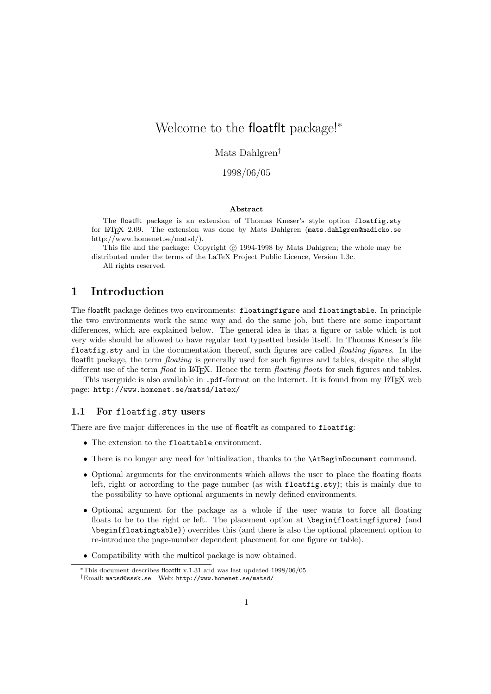# Welcome to the floatflt package!<sup>∗</sup>

Mats Dahlgren†

1998/06/05

#### Abstract

The floatflt package is an extension of Thomas Kneser's style option floatfig.sty for LATEX 2.09. The extension was done by Mats Dahlgren (mats.dahlgren@madicko.se http://www.homenet.se/matsd/).

This file and the package: Copyright © 1994-1998 by Mats Dahlgren; the whole may be distributed under the terms of the LaTeX Project Public Licence, Version 1.3c.

All rights reserved.

# 1 Introduction

The floatflt package defines two environments: floatingfigure and floatingtable. In principle the two environments work the same way and do the same job, but there are some important differences, which are explained below. The general idea is that a figure or table which is not very wide should be allowed to have regular text typsetted beside itself. In Thomas Kneser's file floatfig.sty and in the documentation thereof, such figures are called *floating figures*. In the floatflt package, the term floating is generally used for such figures and tables, despite the slight different use of the term *float* in LATEX. Hence the term *floating floats* for such figures and tables.

This userguide is also available in .pdf-format on the internet. It is found from my L<sup>AT</sup>EX web page: http://www.homenet.se/matsd/latex/

#### 1.1 For floatfig.sty users

There are five major differences in the use of floatflt as compared to floatfig:

- The extension to the floattable environment.
- There is no longer any need for initialization, thanks to the \AtBeginDocument command.
- Optional arguments for the environments which allows the user to place the floating floats left, right or according to the page number (as with floatfig.sty); this is mainly due to the possibility to have optional arguments in newly defined environments.
- Optional argument for the package as a whole if the user wants to force all floating floats to be to the right or left. The placement option at **\begin{floatingfigure}** (and \begin{floatingtable}) overrides this (and there is also the optional placement option to re-introduce the page-number dependent placement for one figure or table).
- Compatibility with the multicol package is now obtained.

<sup>∗</sup>This document describes floatflt v.1.31 and was last updated 1998/06/05. †Email: matsd@sssk.se Web: http://www.homenet.se/matsd/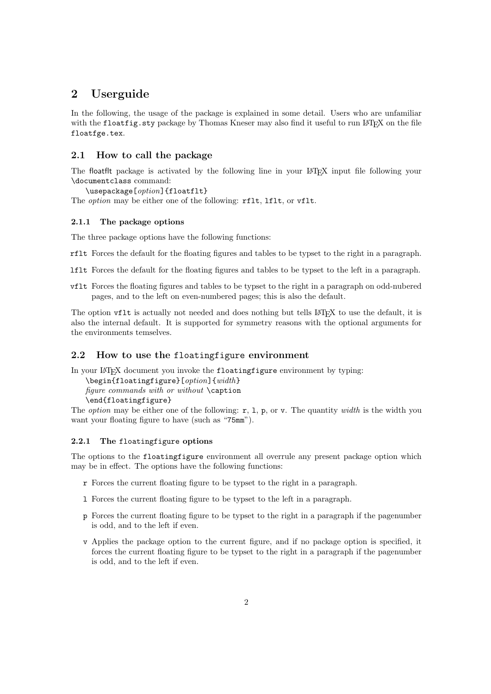# 2 Userguide

In the following, the usage of the package is explained in some detail. Users who are unfamiliar with the floatfig.sty package by Thomas Kneser may also find it useful to run LATEX on the file floatfge.tex.

### 2.1 How to call the package

The floatflt package is activated by the following line in your LAT<sub>EX</sub> input file following your \documentclass command:

\usepackage[option]{floatflt}

The *option* may be either one of the following: rflt, lflt, or vflt.

### 2.1.1 The package options

The three package options have the following functions:

rflt Forces the default for the floating figures and tables to be typset to the right in a paragraph.

- lflt Forces the default for the floating figures and tables to be typset to the left in a paragraph.
- vflt Forces the floating figures and tables to be typset to the right in a paragraph on odd-nubered pages, and to the left on even-numbered pages; this is also the default.

The option vflt is actually not needed and does nothing but tells LATEX to use the default, it is also the internal default. It is supported for symmetry reasons with the optional arguments for the environments temselves.

# 2.2 How to use the floatingfigure environment

In your LATEX document you invoke the floatingfigure environment by typing:

\begin{floatingfigure}[option]{width} figure commands with or without  $\zeta$  caption

```
\end{floatingfigure}
```
The *option* may be either one of the following:  $r$ , 1, p, or v. The quantity *width* is the width you want your floating figure to have (such as "75mm").

#### 2.2.1 The floatingfigure options

The options to the floatingfigure environment all overrule any present package option which may be in effect. The options have the following functions:

- r Forces the current floating figure to be typset to the right in a paragraph.
- l Forces the current floating figure to be typset to the left in a paragraph.
- p Forces the current floating figure to be typset to the right in a paragraph if the pagenumber is odd, and to the left if even.
- v Applies the package option to the current figure, and if no package option is specified, it forces the current floating figure to be typset to the right in a paragraph if the pagenumber is odd, and to the left if even.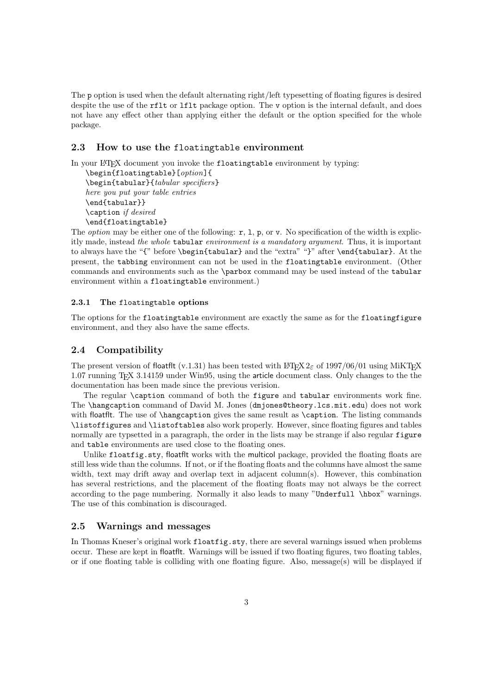The p option is used when the default alternating right/left typesetting of floating figures is desired despite the use of the rflt or lflt package option. The v option is the internal default, and does not have any effect other than applying either the default or the option specified for the whole package.

### 2.3 How to use the floatingtable environment

In your LATEX document you invoke the floatingtable environment by typing:

\begin{floatingtable}[option]{ \begin{tabular}{tabular specifiers} here you put your table entries \end{tabular}} \caption if desired \end{floatingtable}

The *option* may be either one of the following:  $r$ , 1, p, or v. No specification of the width is explicitly made, instead the whole tabular environment is a mandatory argument. Thus, it is important to always have the "{" before \begin{tabular} and the "extra" "}" after \end{tabular}. At the present, the tabbing environment can not be used in the floatingtable environment. (Other commands and environments such as the \parbox command may be used instead of the tabular environment within a floatingtable environment.)

#### 2.3.1 The floatingtable options

The options for the floatingtable environment are exactly the same as for the floatingfigure environment, and they also have the same effects.

### 2.4 Compatibility

The present version of floatflt (v.1.31) has been tested with LATEX 2 $\epsilon$  of 1997/06/01 using MiKTEX 1.07 running TEX 3.14159 under Win95, using the article document class. Only changes to the the documentation has been made since the previous verision.

The regular \caption command of both the figure and tabular environments work fine. The \hangcaption command of David M. Jones (dmjones@theory.lcs.mit.edu) does not work with floatflt. The use of \hangcaption gives the same result as \caption. The listing commands \listoffigures and \listoftables also work properly. However, since floating figures and tables normally are typsetted in a paragraph, the order in the lists may be strange if also regular figure and table environments are used close to the floating ones.

Unlike floatfig.sty, floatflt works with the multicol package, provided the floating floats are still less wide than the columns. If not, or if the floating floats and the columns have almost the same width, text may drift away and overlap text in adjacent column(s). However, this combination has several restrictions, and the placement of the floating floats may not always be the correct according to the page numbering. Normally it also leads to many "Underfull \hbox" warnings. The use of this combination is discouraged.

#### 2.5 Warnings and messages

In Thomas Kneser's original work floatfig.sty, there are several warnings issued when problems occur. These are kept in floatflt. Warnings will be issued if two floating figures, two floating tables, or if one floating table is colliding with one floating figure. Also, message(s) will be displayed if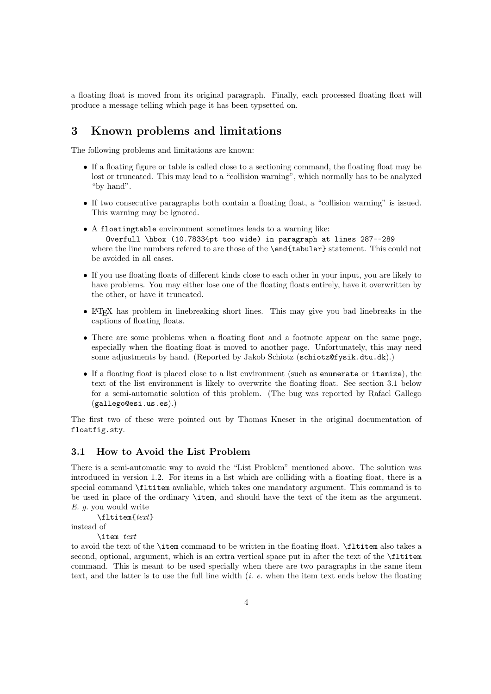a floating float is moved from its original paragraph. Finally, each processed floating float will produce a message telling which page it has been typsetted on.

# 3 Known problems and limitations

The following problems and limitations are known:

- If a floating figure or table is called close to a sectioning command, the floating float may be lost or truncated. This may lead to a "collision warning", which normally has to be analyzed "by hand".
- If two consecutive paragraphs both contain a floating float, a "collision warning" is issued. This warning may be ignored.
- A floatingtable environment sometimes leads to a warning like: Overfull \hbox (10.78334pt too wide) in paragraph at lines 287--289 where the line numbers refered to are those of the **\end{tabular}** statement. This could not be avoided in all cases.
- If you use floating floats of different kinds close to each other in your input, you are likely to have problems. You may either lose one of the floating floats entirely, have it overwritten by the other, or have it truncated.
- LATEX has problem in linebreaking short lines. This may give you bad linebreaks in the captions of floating floats.
- There are some problems when a floating float and a footnote appear on the same page, especially when the floating float is moved to another page. Unfortunately, this may need some adjustments by hand. (Reported by Jakob Schiotz (schiotz@fysik.dtu.dk).)
- If a floating float is placed close to a list environment (such as enumerate or itemize), the text of the list environment is likely to overwrite the floating float. See section 3.1 below for a semi-automatic solution of this problem. (The bug was reported by Rafael Gallego (gallego@esi.us.es).)

The first two of these were pointed out by Thomas Kneser in the original documentation of floatfig.sty.

## 3.1 How to Avoid the List Problem

There is a semi-automatic way to avoid the "List Problem" mentioned above. The solution was introduced in version 1.2. For items in a list which are colliding with a floating float, there is a special command \fltitem avaliable, which takes one mandatory argument. This command is to be used in place of the ordinary \item, and should have the text of the item as the argument. E. g. you would write

\fltitem{text}

instead of

\item text

to avoid the text of the \item command to be written in the floating float. \fltitem also takes a second, optional, argument, which is an extra vertical space put in after the text of the \fltitem command. This is meant to be used specially when there are two paragraphs in the same item text, and the latter is to use the full line width  $(i, e,$  when the item text ends below the floating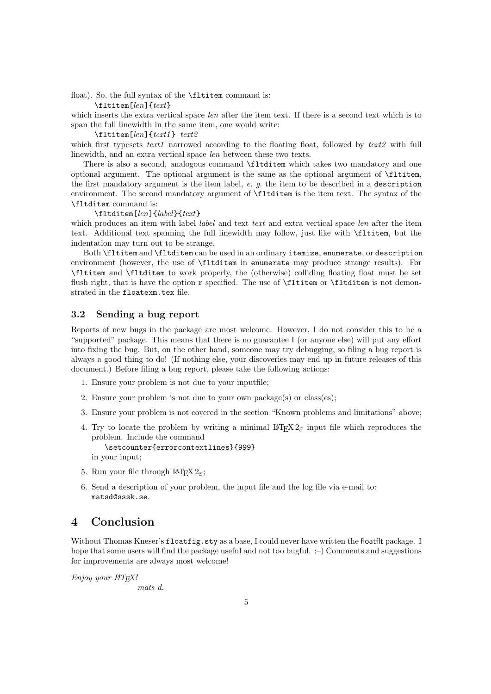float). So, the full syntax of the **\fltitem** command is:

\fltitem[len]{text}

which inserts the extra vertical space *len* after the item text. If there is a second text which is to span the full linewidth in the same item, one would write:

#### \fltitem[len]{text1 } text2

which first typesets text1 narrowed according to the floating float, followed by text2 with full linewidth, and an extra vertical space len between these two texts.

There is also a second, analogous command \fltditem which takes two mandatory and one optional argument. The optional argument is the same as the optional argument of \fltitem, the first mandatory argument is the item label, e. g. the item to be described in a description environment. The second mandatory argument of \fltditem is the item text. The syntax of the \fltditem command is:

#### \fltditem[len]{label}{text}

which produces an item with label *label* and text text and extra vertical space len after the item text. Additional text spanning the full linewidth may follow, just like with \fltitem, but the indentation may turn out to be strange.

Both \fltitem and \fltditem can be used in an ordinary itemize, enumerate, or description environment (however, the use of \fltditem in enumerate may produce strange results). For \fltitem and \fltditem to work properly, the (otherwise) colliding floating float must be set flush right, that is have the option r specified. The use of \fltitem or \fltditem is not demonstrated in the floatexm.tex file.

## 3.2 Sending a bug report

Reports of new bugs in the package are most welcome. However, I do not consider this to be a "supported" package. This means that there is no guarantee I (or anyone else) will put any effort into fixing the bug. But, on the other hand, someone may try debugging, so filing a bug report is always a good thing to do! (If nothing else, your discoveries may end up in future releases of this document.) Before filing a bug report, please take the following actions:

- 1. Ensure your problem is not due to your inputfile;
- 2. Ensure your problem is not due to your own package(s) or class(es);
- 3. Ensure your problem is not covered in the section "Known problems and limitations" above;
- 4. Try to locate the problem by writing a minimal  $L^2 \text{Tr} X 2_{\epsilon}$  input file which reproduces the problem. Include the command

\setcounter{errorcontextlines}{999} in your input;

- 5. Run your file through  $\text{LATEX } 2\varepsilon$ ;
- 6. Send a description of your problem, the input file and the log file via e-mail to: matsd@sssk.se.

# 4 Conclusion

Without Thomas Kneser's floatfig.sty as a base, I could never have written the floatflt package. I hope that some users will find the package useful and not too bugful.  $\div$ ) Comments and suggestions for improvements are always most welcome!

Enjoy your **LATEX!** 

mats d.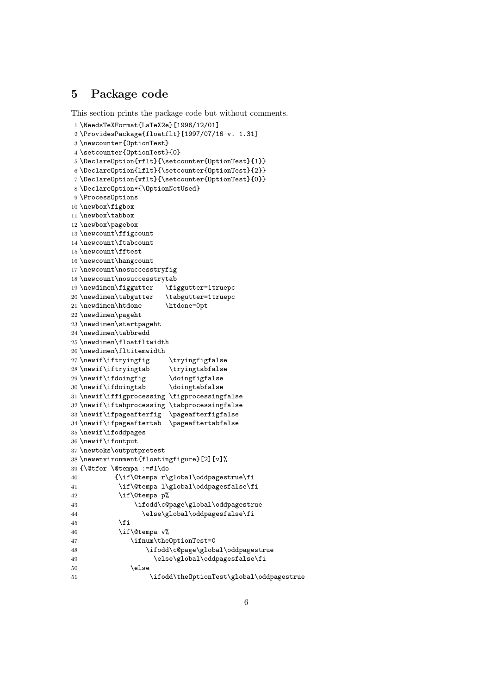# 5 Package code

```
This section prints the package code but without comments.
1 \NeedsTeXFormat{LaTeX2e}[1996/12/01]
2 \ProvidesPackage{floatflt}[1997/07/16 v. 1.31]
3 \newcounter{OptionTest}
4 \setcounter{OptionTest}{0}
5 \DeclareOption{rflt}{\setcounter{OptionTest}{1}}
6 \DeclareOption{lflt}{\setcounter{OptionTest}{2}}
7 \DeclareOption{vflt}{\setcounter{OptionTest}{0}}
8 \DeclareOption*{\OptionNotUsed}
9 \ProcessOptions
10 \newbox\figbox
11 \newbox\tabbox
12 \newbox\pagebox
13 \newcount\ffigcount
14 \newcount\ftabcount
15 \newcount\fftest
16 \newcount\hangcount
17 \newcount\nosuccesstryfig
18 \newcount\nosuccesstrytab
19 \newdimen\figgutter \figgutter=1truepc
20 \newdimen\tabgutter \tabgutter=1truepc
21 \newdimen\htdone \htdone=0pt
22 \newdimen\pageht
23 \newdimen\startpageht
24 \newdimen\tabbredd
25 \newdimen\floatfltwidth
26 \newdimen\fltitemwidth
27 \newif\iftryingfig \tryingfigfalse
28 \newif\iftryingtab \tryingtabfalse
29 \newif\ifdoingfig \doingfigfalse
30 \newif\ifdoingtab \doingtabfalse
31 \newif\iffigprocessing \figprocessingfalse
32 \newif\iftabprocessing \tabprocessingfalse
33 \newif\ifpageafterfig \pageafterfigfalse
34 \newif\ifpageaftertab \pageaftertabfalse
35 \newif\ifoddpages
36 \newif\ifoutput
37 \newtoks\outputpretest
38 \newenvironment{floatingfigure}[2][v]%
39 {\@tfor \@tempa :=#1\do
40 {\if\@tempa r\global\oddpagestrue\fi
41 \if\@tempa l\global\oddpagesfalse\fi
42 \if\@tempa p%
43 \ifodd\c@page\global\oddpagestrue
44 \else\global\oddpagesfalse\fi
45 \overline{\phantom{a}} \fi
46 \if\@tempa v%
47 \ifnum\theOptionTest=0
48 \ifodd\c@page\global\oddpagestrue
49 \else\global\oddpagesfalse\fi
50 \quad \text{black}51 \ifodd\theOptionTest\global\oddpagestrue
```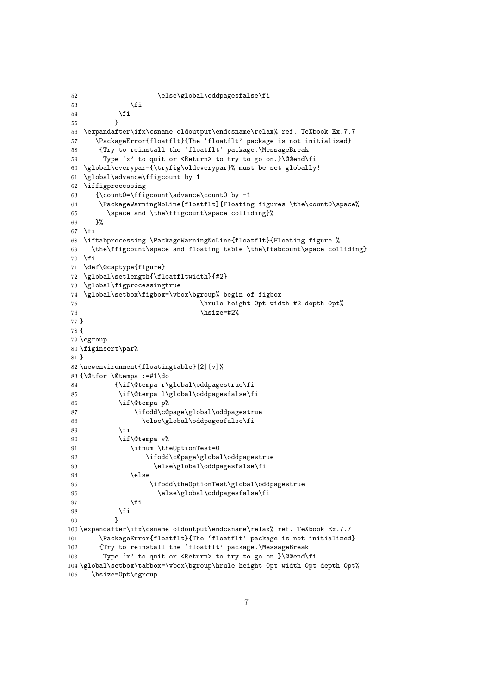```
52 \else\global\oddpagesfalse\fi
53 \overline{\phantom{a}} \fi
54 \fi
55 }
56 \expandafter\ifx\csname oldoutput\endcsname\relax% ref. TeXbook Ex.7.7
57 \PackageError{floatflt}{The 'floatflt' package is not initialized}
58 {Try to reinstall the 'floatflt' package.\MessageBreak
59 Type 'x' to quit or <Return> to try to go on.}\@@end\fi
60 \global\everypar={\tryfig\oldeverypar}% must be set globally!
61 \global\advance\ffigcount by 1
62 \iffigprocessing
63 {\count0=\ffigcount\advance\count0 by -1
64 \PackageWarningNoLine{floatflt}{Floating figures \the\count0\space%
65 \space and \the\ffigcount\space colliding}%
66 }%
67 \overline{f}68 \iftabprocessing \PackageWarningNoLine{floatflt}{Floating figure %
69 \the\ffigcount\space and floating table \the\ftabcount\space colliding}
70 \fi
71 \def\@captype{figure}
72 \global\setlength{\floatfltwidth}{#2}
73 \global\figprocessingtrue
74 \global\setbox\figbox=\vbox\bgroup% begin of figbox
75 \hrule height 0pt width #2 depth 0pt%
76 \text{ his} \text{ize} = \text{\#2}\text{%}77 }
78 {
79 \egroup
80 \figinsert\par%
81 }
82 \newenvironment{floatingtable}[2][v]%
83 {\@tfor \@tempa :=#1\do
84 {\if\@tempa r\global\oddpagestrue\fi
85 \if\@tempa l\global\oddpagesfalse\fi
86 \if\@tempa p%
87 \ifodd\c@page\global\oddpagestrue
88 \else\global\oddpagesfalse\fi
89 \overline{\text{f}i}90 \if\@tempa v%
91 \ifnum \theOptionTest=0
92 \ifodd\c@page\global\oddpagestrue
93 \else\global\oddpagesfalse\fi
94 \qquad \qquad \text{leles}95 \ifodd\theOptionTest\global\oddpagestrue
96 \else\global\oddpagesfalse\fi
97 \setminusfi
98 \qquad \qquad \int fi
 99 }
100 \expandafter\ifx\csname oldoutput\endcsname\relax% ref. TeXbook Ex.7.7
101 \PackageError{floatflt}{The 'floatflt' package is not initialized}
102 {Try to reinstall the 'floatflt' package.\MessageBreak
103 Type 'x' to quit or <Return> to try to go on.}\@@end\fi
104 \global\setbox\tabbox=\vbox\bgroup\hrule height 0pt width 0pt depth 0pt%
105 \hsize=0pt\egroup
```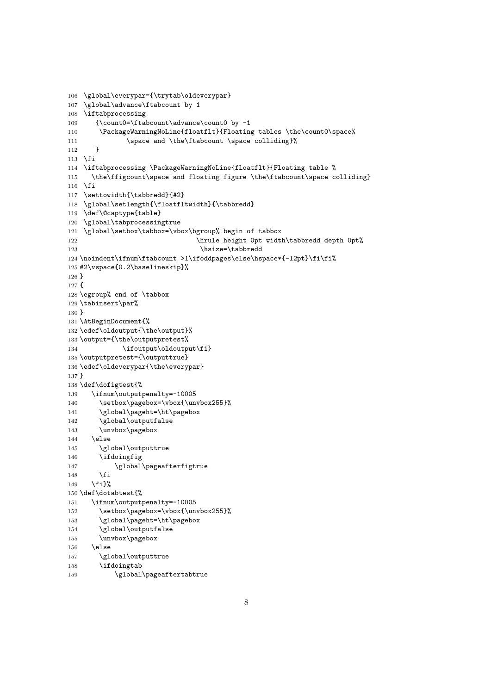```
106 \global\everypar={\trytab\oldeverypar}
107 \global\advance\ftabcount by 1
108 \iftabprocessing
109 {\count0=\ftabcount\advance\count0 by -1
110 \PackageWarningNoLine{floatflt}{Floating tables \the\count0\space%
111 \space and \the\ftabcount \space colliding}%
112 }
113 \fi
114 \iftabprocessing \PackageWarningNoLine{floatflt}{Floating table %
115 \the\ffigcount\space and floating figure \the\ftabcount\space colliding}
116 \fi
117 \settowidth{\tabbredd}{#2}
118 \global\setlength{\floatfltwidth}{\tabbredd}
119 \def\@captype{table}
120 \global\tabprocessingtrue
121 \global\setbox\tabbox=\vbox\bgroup% begin of tabbox
122 \hrule height 0pt width\tabbredd depth 0pt%
123 \hsize=\tabbredd
124 \noindent\ifnum\ftabcount >1\ifoddpages\else\hspace*{-12pt}\fi\fi%
125 #2\vspace{0.2\baselineskip}%
126 }
127 {
128 \egroup% end of \tabbox
129 \tabinsert\par%
130 }
131 \AtBeginDocument{%
132 \edef\oldoutput{\the\output}%
133 \output={\the\outputpretest%
134 \ifoutput\oldoutput\fi}
135 \outputpretest={\outputtrue}
136 \edef\oldeverypar{\the\everypar}
137 }
138 \def\dofigtest{%
139 \ifnum\outputpenalty=-10005
140 \setbox\pagebox=\vbox{\unvbox255}%
141 \global\pageht=\ht\pagebox
142 \global\outputfalse
143 \unvbox\pagebox
144 \else
145 \global\outputtrue
146 \ifdoingfig
147 \global\pageafterfigtrue
148 \fi
149 \fi}%
150 \def\dotabtest{%
151 \ifnum\outputpenalty=-10005
152 \setbox\pagebox=\vbox{\unvbox255}%
153 \global\pageht=\ht\pagebox
154 \global\outputfalse
155 \unvbox\pagebox
156 \else
157 \global\outputtrue
158 \ifdoingtab
```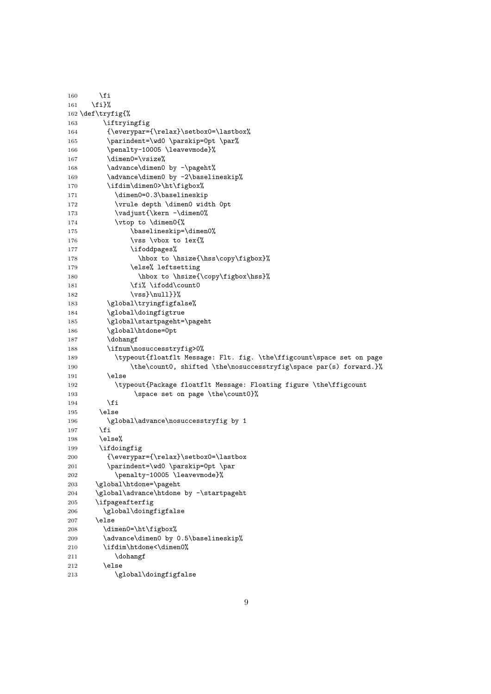| 160               | \fi                                                                   |  |
|-------------------|-----------------------------------------------------------------------|--|
| 161               | \fi}%                                                                 |  |
| 162 \def\tryfig{% |                                                                       |  |
| 163               | \iftryingfig                                                          |  |
| 164               | {\everypar={\relax}\setbox0=\lastbox%                                 |  |
| 165               | \parindent=\wd0 \parskip=0pt \par%                                    |  |
| 166               | \penalty-10005 \leavevmode}%                                          |  |
| 167               | \dimen0=\vsize%                                                       |  |
| 168               | \advance\dimen0 by -\pageht%                                          |  |
| 169               | \advance\dimen0 by -2\baselineskip%                                   |  |
| 170               | \ifdim\dimen0>\ht\figbox%                                             |  |
| 171               | \dimen0=0.3\baselineskip                                              |  |
| 172               | \vrule depth \dimen0 width Opt                                        |  |
| 173               | \vadjust{\kern -\dimen0%                                              |  |
| 174               | \vtop to \dimen0{%                                                    |  |
| 175               | \baselineskip=\dimen0%                                                |  |
| 176               | \vss \vbox to 1ex{%                                                   |  |
| 177               | \ifoddpages%                                                          |  |
| 178               | \hbox to \hsize{\hss\copy\figbox}%                                    |  |
| 179               | \else% leftsetting                                                    |  |
| 180               | \hbox to \hsize{\copy\figbox\hss}%                                    |  |
| 181               | \fi% \ifodd\count0                                                    |  |
| 182               | $\vss}{null}$                                                         |  |
| 183               | \global\tryingfigfalse%                                               |  |
| 184               | \global\doingfigtrue                                                  |  |
| 185               | \global\startpageht=\pageht                                           |  |
| 186               | \global\htdone=0pt                                                    |  |
| 187               | \dohangf                                                              |  |
| 188               | \ifnum\nosuccesstryfig>0%                                             |  |
| 189               | \typeout{floatflt Message: Flt. fig. \the\ffigcount\space set on page |  |
| 190               | \the\count0, shifted \the\nosuccesstryfig\space par(s) forward.}%     |  |
| 191               | \else                                                                 |  |
| 192               | \typeout{Package floatflt Message: Floating figure \the\ffigcount     |  |
| 193               | \space set on page \the\count0}%                                      |  |
| 194               | \fi                                                                   |  |
| 195               | \else                                                                 |  |
| 196               | \global\advance\nosuccesstryfig by 1                                  |  |
| 197               | \fi                                                                   |  |
| 198               | \else%                                                                |  |
| 199               | \ifdoingfig                                                           |  |
| 200               | {\everypar={\relax}\setbox0=\lastbox                                  |  |
| 201               | \parindent=\wd0 \parskip=0pt \par                                     |  |
| 202               | \penalty-10005 \leavevmode}%                                          |  |
| 203               | \global\htdone=\pageht<br>\global\advance\htdone by -\startpageht     |  |
| 204               |                                                                       |  |
| 205               | \ifpageafterfig                                                       |  |
| 206               | \global\doingfigfalse                                                 |  |
| 207               | \else                                                                 |  |
| 208               | \dimen0=\ht\figbox%                                                   |  |
| 209               | \advance\dimen0 by 0.5\baselineskip%<br>\ifdim\htdone<\dimen0%        |  |
| 210               | \dohangf                                                              |  |
| 211<br>212        | \else                                                                 |  |
| 213               | \global\doingfigfalse                                                 |  |
|                   |                                                                       |  |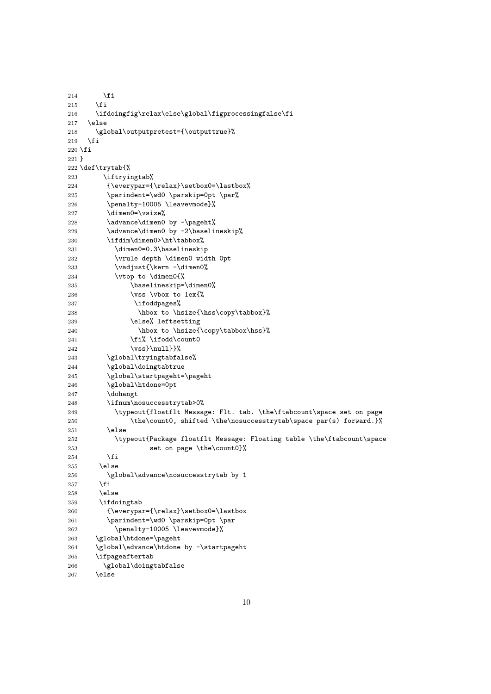```
214 \overrightarrow{f}215 \forallfi
216 \ifdoingfig\relax\else\global\figprocessingfalse\fi
217 \else
218 \global\outputpretest={\outputtrue}%
219 \overline{19}220 \fi
221 }
222 \def\trytab{%
223 \iftryingtab%
224 {\everypar={\relax}\setbox0=\lastbox%
225 \parindent=\wd0 \parskip=0pt \par%
226 \penalty-10005 \leavevmode}%
227 \dimen0=\vsize%
228 \advance\dimen0 by -\pageht%
229 \advance\dimen0 by -2\baselineskip%
230 \ifdim\dimen0>\ht\tabbox%
231 \dimen0=0.3\baselineskip
232 \vrule depth \dimen0 width 0pt
233 \vadjust{\kern -\dimen0%
234 \vtop to \dimen0{%<br>235 \baselineskip=
               \baselineskip=\dimen0%
236 \vee \vee \vee \vee \vee \vee \vee \vee \vee \vee \vee \vee \vee \vee \vee \vee \vee \vee \vee \vee \vee \vee \vee \vee \vee \vee \vee \vee \vee \vee \vee \vee \vee \vee \vee \vee 237 \ifoddpages%
238 \hbox to \hsize{\hss\copy\tabbox}%
239 \else% leftsetting
240 \hbox to \hsize{\copy\tabbox\hss}%
241 \fi% \ifodd\count0
242 \vss}{null}243 \global\tryingtabfalse%
244 \global\doingtabtrue
245 \global\startpageht=\pageht
246 \global\htdone=0pt
247 \dohangt
248 \ifnum\nosuccesstrytab>0%
249 \typeout{floatflt Message: Flt. tab. \the\ftabcount\space set on page
250 \the\count0, shifted \the\nosuccesstrytab\space par(s) forward.}%
251 \else
252 \typeout{Package floatflt Message: Floating table \the\ftabcount\space
253 set on page \the\count0}%
254 \fi
255 \else<br>256 \gl
         \global\advance\nosuccesstrytab by 1
257 \setminusfi
258 \else
259 \ifdoingtab
260 {\everypar={\relax}\setbox0=\lastbox
261 \parindent=\wd0 \parskip=0pt \par
262 \penalty-10005 \leavevmode}%
263 \global\htdone=\pageht
264 \global\advance\htdone by -\startpageht
265 \ifpageaftertab
266 \global\doingtabfalse
267 \else
```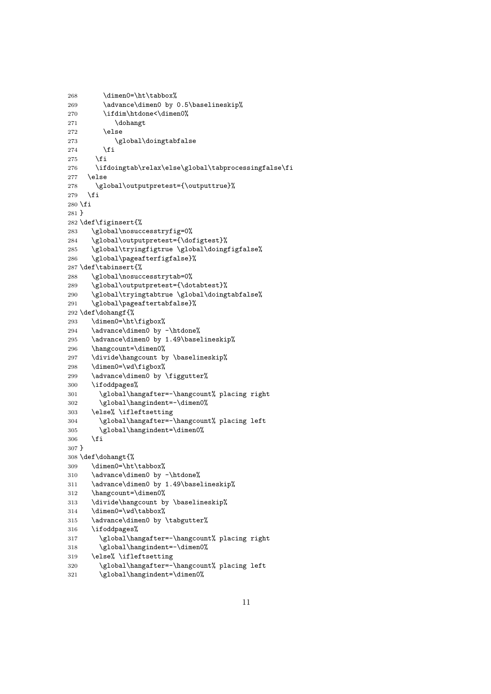```
268 \dimen0=\ht\tabbox%
269 \advance\dimen0 by 0.5\baselineskip%
270 \ifdim\htdone<\dimen0%
271 \dohangt
272 \else
273 \global\doingtabfalse
274 \setminusfi
275 \fi
276 \ifdoingtab\relax\else\global\tabprocessingfalse\fi
277 \else
278 \global\outputpretest={\outputtrue}%
279 \fi
280 \setminus fi281 }
282 \def\figinsert{%
283 \global\nosuccesstryfig=0%
284 \global\outputpretest={\dofigtest}%
285 \global\tryingfigtrue \global\doingfigfalse%
286 \global\pageafterfigfalse}%
287 \def\tabinsert{%
288 \global\nosuccesstrytab=0%
289 \global\outputpretest={\dotabtest}%
290 \global\tryingtabtrue \global\doingtabfalse%
291 \global\pageaftertabfalse}%
292 \def\dohangf{%
293 \dimen0=\ht\figbox%
294 \advance\dimen0 by -\htdone%
295 \advance\dimen0 by 1.49\baselineskip%
296 \hangcount=\dimen0%
297 \divide\hangcount by \baselineskip%
298 \dimen0=\wd\figbox%
299 \advance\dimen0 by \figgutter%
300 \ifoddpages%
301 \global\hangafter=-\hangcount% placing right
302 \global\hangindent=-\dimen0%
303 \else% \ifleftsetting
304 \global\hangafter=-\hangcount% placing left
305 \global\hangindent=\dimen0%
306 \fi
307 }
308 \def\dohangt{%
309 \dimen0=\ht\tabbox%
310 \advance\dimen0 by -\htdone%
311 \advance\dimen0 by 1.49\baselineskip%
312 \hangcount=\dimen0%
313 \divide\hangcount by \baselineskip%
314 \dimen0=\wd\tabbox%
315 \advance\dimen0 by \tabgutter%
316 \ifoddpages%
317 \global\hangafter=-\hangcount% placing right
318 \global\hangindent=-\dimen0%
319 \else% \ifleftsetting
320 \global\hangafter=-\hangcount% placing left
321 \global\hangindent=\dimen0%
```